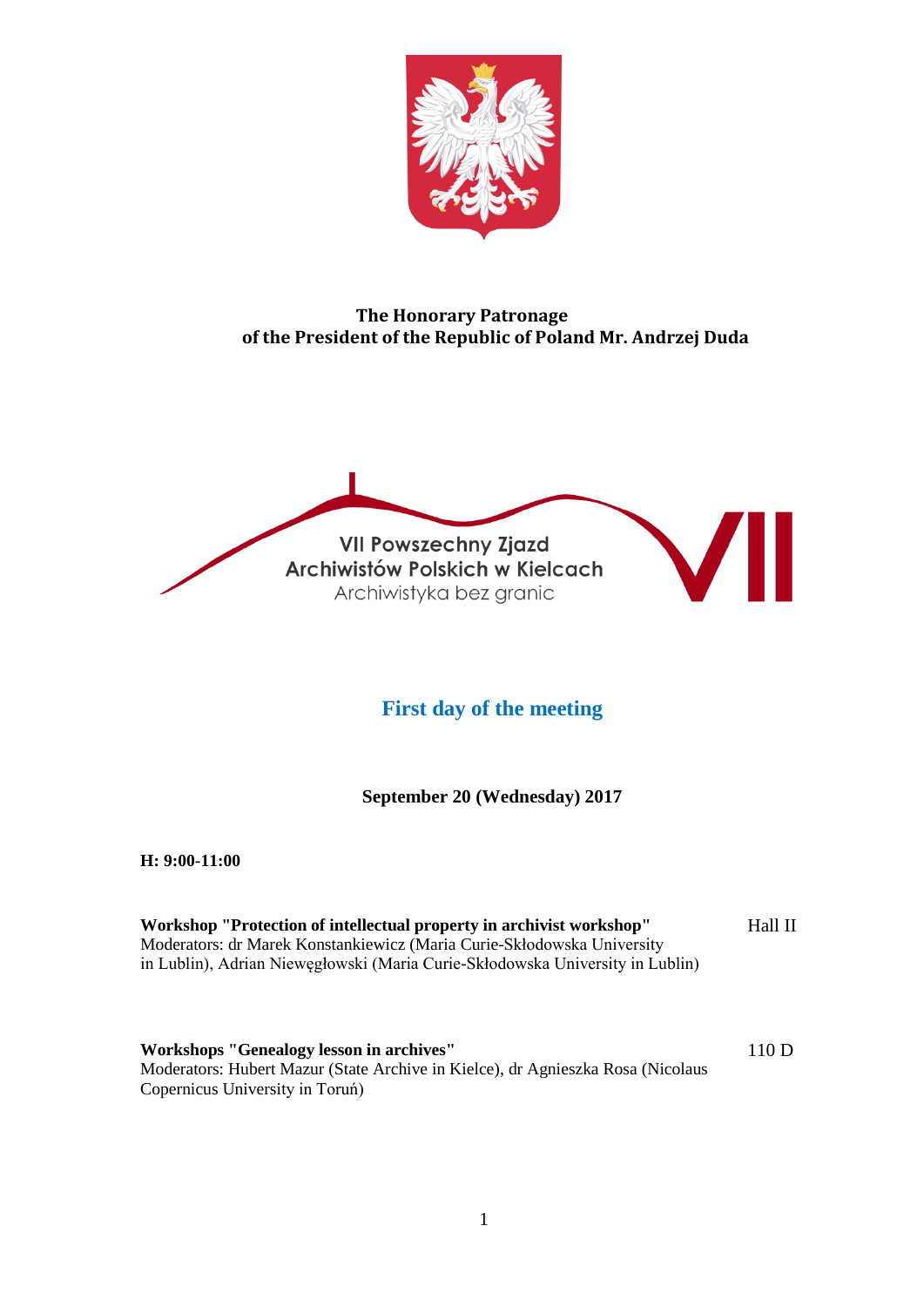

# **The Honorary Patronage of the President of the Republic of Poland Mr. Andrzej Duda**

**VII Powszechny Zjazd** Archiwistów Polskich w Kielcach Archiwistyka bez granic

# **First day of the meeting**

**September 20 (Wednesday) 2017**

**H: 9:00-11:00**

| Workshop "Protection of intellectual property in archivist workshop"          | Hall II |
|-------------------------------------------------------------------------------|---------|
| Moderators: dr Marek Konstankiewicz (Maria Curie-Skłodowska University        |         |
| in Lublin), Adrian Niewęgłowski (Maria Curie-Skłodowska University in Lublin) |         |
|                                                                               |         |

**Workshops "Genealogy lesson in archives"** Moderators: Hubert Mazur (State Archive in Kielce), dr Agnieszka Rosa (Nicolaus Copernicus University in Toruń) 110 D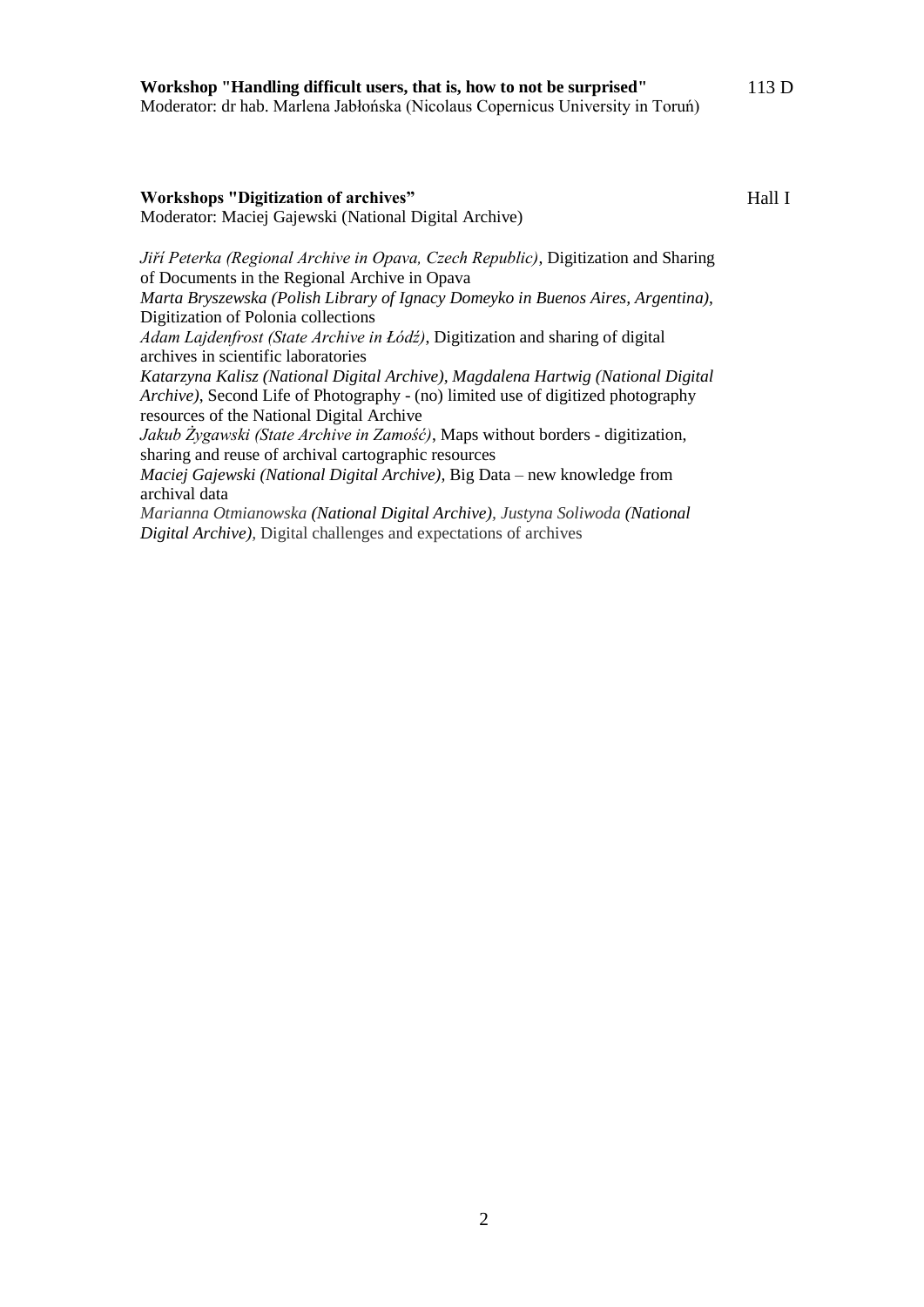#### **Workshops "Digitization of archives"** Moderator: Maciej Gajewski (National Digital Archive)

Hall I

113 D

*Jiří Peterka (Regional Archive in Opava, Czech Republic)*, Digitization and Sharing of Documents in the Regional Archive in Opava

*Marta Bryszewska (Polish Library of Ignacy Domeyko in Buenos Aires, Argentina)*, Digitization of Polonia collections

*Adam Lajdenfrost (State Archive in Łódź)*, Digitization and sharing of digital archives in scientific laboratories

*Katarzyna Kalisz (National Digital Archive), Magdalena Hartwig (National Digital Archive)*, Second Life of Photography - (no) limited use of digitized photography resources of the National Digital Archive

*Jakub Żygawski (State Archive in Zamość)*, Maps without borders - digitization, sharing and reuse of archival cartographic resources

*Maciej Gajewski (National Digital Archive),* Big Data – new knowledge from archival data

*Marianna Otmianowska (National Digital Archive), Justyna Soliwoda (National Digital Archive),* Digital challenges and expectations of archives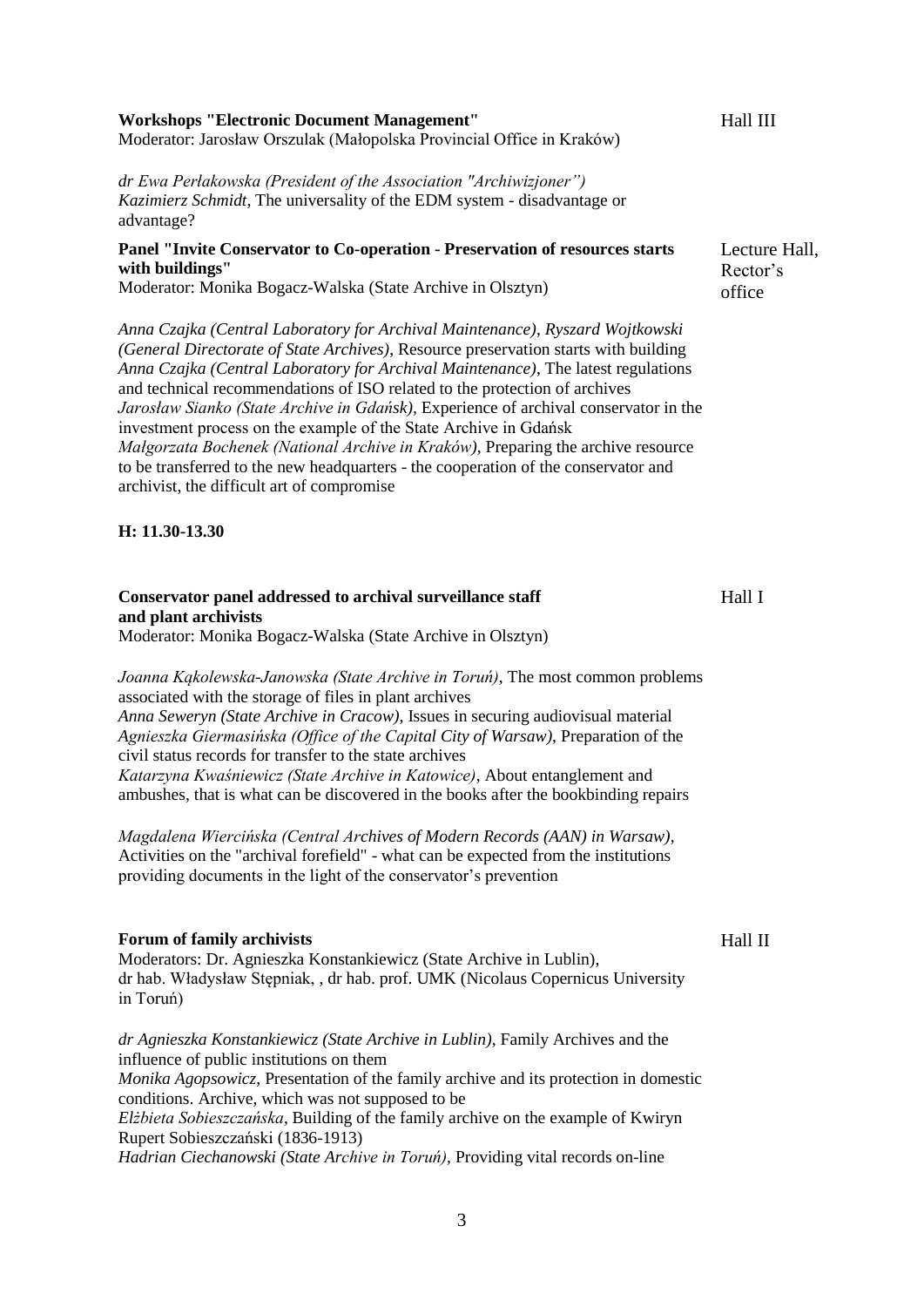| <b>Workshops "Electronic Document Management"</b>                     | Hall III |
|-----------------------------------------------------------------------|----------|
| Moderator: Jarosław Orszulak (Małopolska Provincial Office in Kraków) |          |

*dr Ewa Perłakowska (President of the Association "Archiwizjoner") Kazimierz Schmidt*, The universality of the EDM system - disadvantage or advantage?

#### **Panel "Invite Conservator to Co-operation - Preservation of resources starts with buildings"**

Moderator: Monika Bogacz-Walska (State Archive in Olsztyn)

*Anna Czajka (Central Laboratory for Archival Maintenance)*, *Ryszard Wojtkowski (General Directorate of State Archives)*, Resource preservation starts with building *Anna Czajka (Central Laboratory for Archival Maintenance)*, The latest regulations and technical recommendations of ISO related to the protection of archives *Jarosław Sianko (State Archive in Gdańsk),* Experience of archival conservator in the investment process on the example of the State Archive in Gdańsk *Małgorzata Bochenek (National Archive in Kraków)*, Preparing the archive resource to be transferred to the new headquarters - the cooperation of the conservator and archivist, the difficult art of compromise

#### **H: 11.30-13.30**

### **Conservator panel addressed to archival surveillance staff and plant archivists**

Moderator: Monika Bogacz-Walska (State Archive in Olsztyn)

*Joanna Kąkolewska-Janowska (State Archive in Toruń)*, The most common problems associated with the storage of files in plant archives *Anna Seweryn (State Archive in Cracow)*, Issues in securing audiovisual material *Agnieszka Giermasińska (Office of the Capital City of Warsaw)*, Preparation of the civil status records for transfer to the state archives *Katarzyna Kwaśniewicz (State Archive in Katowice)*, About entanglement and ambushes, that is what can be discovered in the books after the bookbinding repairs

*Magdalena Wiercińska (Central Archives of Modern Records (AAN) in Warsaw)*, Activities on the "archival forefield" - what can be expected from the institutions providing documents in the light of the conservator's prevention

#### **Forum of family archivists**

Moderators: Dr. Agnieszka Konstankiewicz (State Archive in Lublin), dr hab. Władysław Stępniak, , dr hab. prof. UMK (Nicolaus Copernicus University in Toruń)

*dr Agnieszka Konstankiewicz (State Archive in Lublin)*, Family Archives and the influence of public institutions on them *Monika Agopsowicz*, Presentation of the family archive and its protection in domestic conditions. Archive, which was not supposed to be *Elżbieta Sobieszczańska*, Building of the family archive on the example of Kwiryn Rupert Sobieszczański (1836-1913)

*Hadrian Ciechanowski (State Archive in Toruń)*, Providing vital records on-line

Hall II

Hall I

Lecture Hall, Rector's office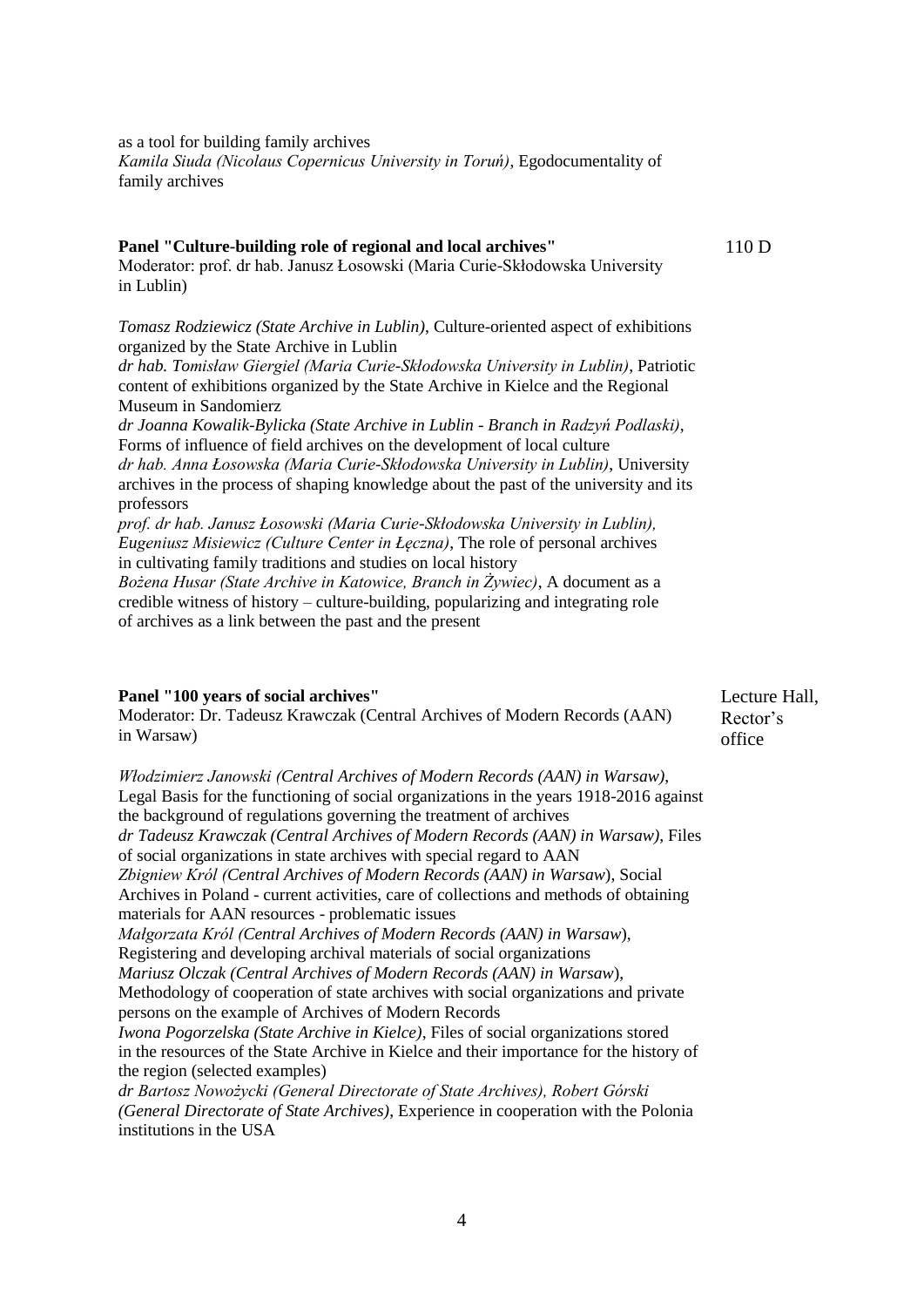as a tool for building family archives *Kamila Siuda (Nicolaus Copernicus University in Toruń)*, Egodocumentality of family archives

#### **Panel "Culture-building role of regional and local archives"**

110 D

Moderator: prof. dr hab. Janusz Łosowski (Maria Curie-Skłodowska University in Lublin)

*Tomasz Rodziewicz (State Archive in Lublin)*, Culture-oriented aspect of exhibitions organized by the State Archive in Lublin

*dr hab. Tomisław Giergiel (Maria Curie-Skłodowska University in Lublin)*, Patriotic content of exhibitions organized by the State Archive in Kielce and the Regional Museum in Sandomierz

*dr Joanna Kowalik-Bylicka (State Archive in Lublin - Branch in Radzyń Podlaski)*, Forms of influence of field archives on the development of local culture *dr hab. Anna Łosowska (Maria Curie-Skłodowska University in Lublin)*, University archives in the process of shaping knowledge about the past of the university and its professors

*prof. dr hab. Janusz Łosowski (Maria Curie-Skłodowska University in Lublin), Eugeniusz Misiewicz (Culture Center in Łęczna)*, The role of personal archives in cultivating family traditions and studies on local history

*Bożena Husar (State Archive in Katowice, Branch in Żywiec)*, A document as a credible witness of history – culture-building, popularizing and integrating role of archives as a link between the past and the present

### **Panel "100 years of social archives"**

Moderator: Dr. Tadeusz Krawczak (Central Archives of Modern Records (AAN) in Warsaw)

Lecture Hall, Rector's office

*Włodzimierz Janowski (Central Archives of Modern Records (AAN) in Warsaw)*, Legal Basis for the functioning of social organizations in the years 1918-2016 against the background of regulations governing the treatment of archives *dr Tadeusz Krawczak (Central Archives of Modern Records (AAN) in Warsaw)*, Files of social organizations in state archives with special regard to AAN *Zbigniew Król (Central Archives of Modern Records (AAN) in Warsaw*), Social Archives in Poland - current activities, care of collections and methods of obtaining materials for AAN resources - problematic issues *Małgorzata Król (Central Archives of Modern Records (AAN) in Warsaw*), Registering and developing archival materials of social organizations *Mariusz Olczak (Central Archives of Modern Records (AAN) in Warsaw*), Methodology of cooperation of state archives with social organizations and private persons on the example of Archives of Modern Records *Iwona Pogorzelska (State Archive in Kielce)*, Files of social organizations stored in the resources of the State Archive in Kielce and their importance for the history of the region (selected examples) *dr Bartosz Nowożycki (General Directorate of State Archives), Robert Górski (General Directorate of State Archives)*, Experience in cooperation with the Polonia institutions in the USA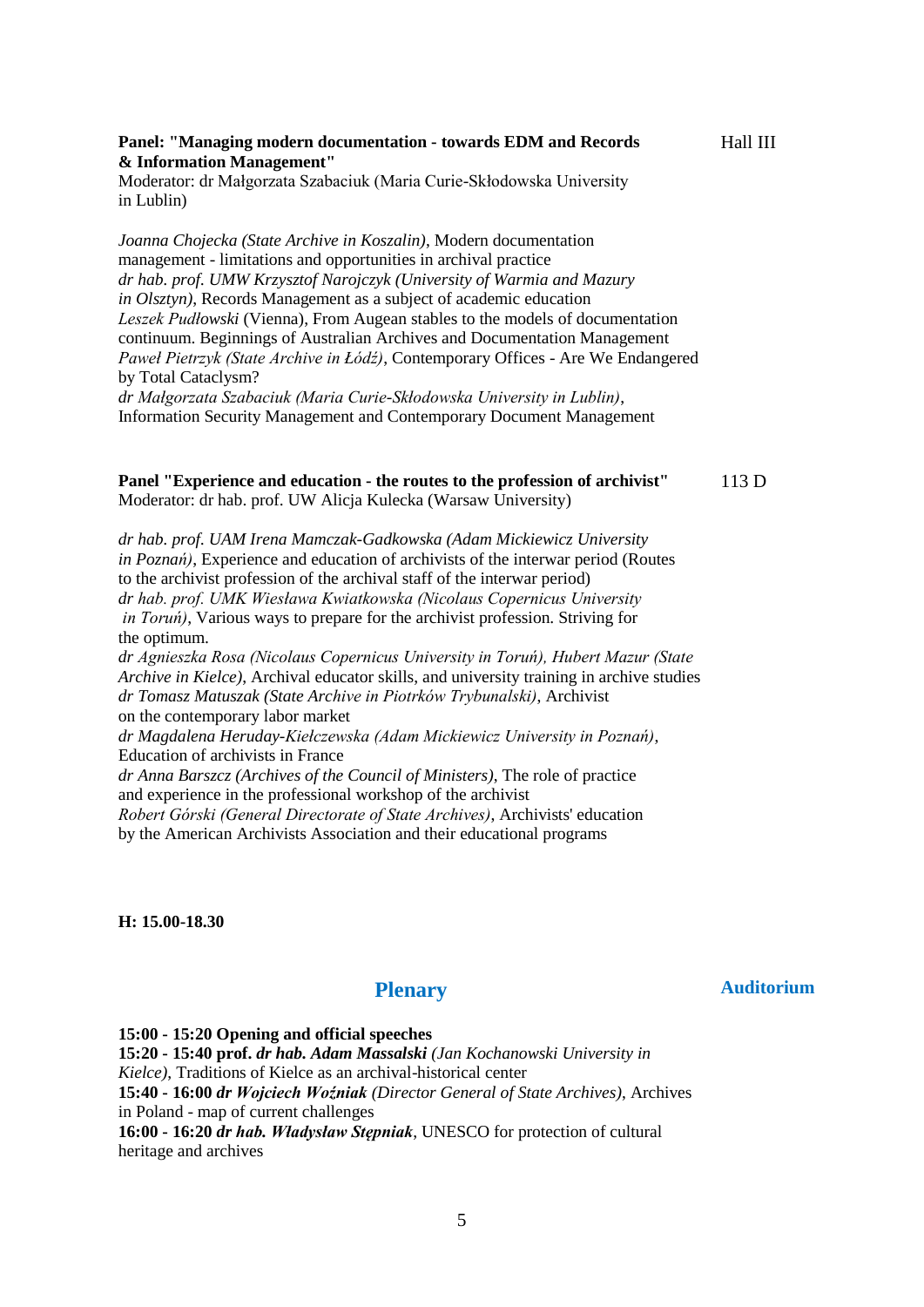#### **Panel: "Managing modern documentation - towards EDM and Records & Information Management"**

Moderator: dr Małgorzata Szabaciuk (Maria Curie-Skłodowska University in Lublin)

*Joanna Chojecka (State Archive in Koszalin)*, Modern documentation management - limitations and opportunities in archival practice *dr hab. prof. UMW Krzysztof Narojczyk (University of Warmia and Mazury in Olsztyn)*, Records Management as a subject of academic education *Leszek Pudłowski* (Vienna), From Augean stables to the models of documentation continuum. Beginnings of Australian Archives and Documentation Management *Paweł Pietrzyk (State Archive in Łódź)*, Contemporary Offices - Are We Endangered by Total Cataclysm?

*dr Małgorzata Szabaciuk (Maria Curie-Skłodowska University in Lublin)*, Information Security Management and Contemporary Document Management

# **Panel "Experience and education - the routes to the profession of archivist"**

Moderator: dr hab. prof. UW Alicja Kulecka (Warsaw University)

113 D

Hall III

*dr hab. prof. UAM Irena Mamczak-Gadkowska (Adam Mickiewicz University in Poznań)*, Experience and education of archivists of the interwar period (Routes to the archivist profession of the archival staff of the interwar period) *dr hab. prof. UMK Wiesława Kwiatkowska (Nicolaus Copernicus University in Toruń)*, Various ways to prepare for the archivist profession. Striving for the optimum.

*dr Agnieszka Rosa (Nicolaus Copernicus University in Toruń), Hubert Mazur (State Archive in Kielce)*, Archival educator skills, and university training in archive studies *dr Tomasz Matuszak (State Archive in Piotrków Trybunalski)*, Archivist on the contemporary labor market

*dr Magdalena Heruday-Kiełczewska (Adam Mickiewicz University in Poznań)*, Education of archivists in France

*dr Anna Barszcz (Archives of the Council of Ministers)*, The role of practice and experience in the professional workshop of the archivist

*Robert Górski (General Directorate of State Archives)*, Archivists' education by the American Archivists Association and their educational programs

**H: 15.00-18.30**

# **Plenary**

**15:00 - 15:20 Opening and official speeches 15:20 - 15:40 prof.** *dr hab. Adam Massalski (Jan Kochanowski University in Kielce)*, Traditions of Kielce as an archival-historical center **15:40 - 16:00** *dr Wojciech Woźniak (Director General of State Archives)*, Archives in Poland - map of current challenges **16:00 - 16:20** *dr hab. Władysław Stępniak*, UNESCO for protection of cultural heritage and archives

**Auditorium**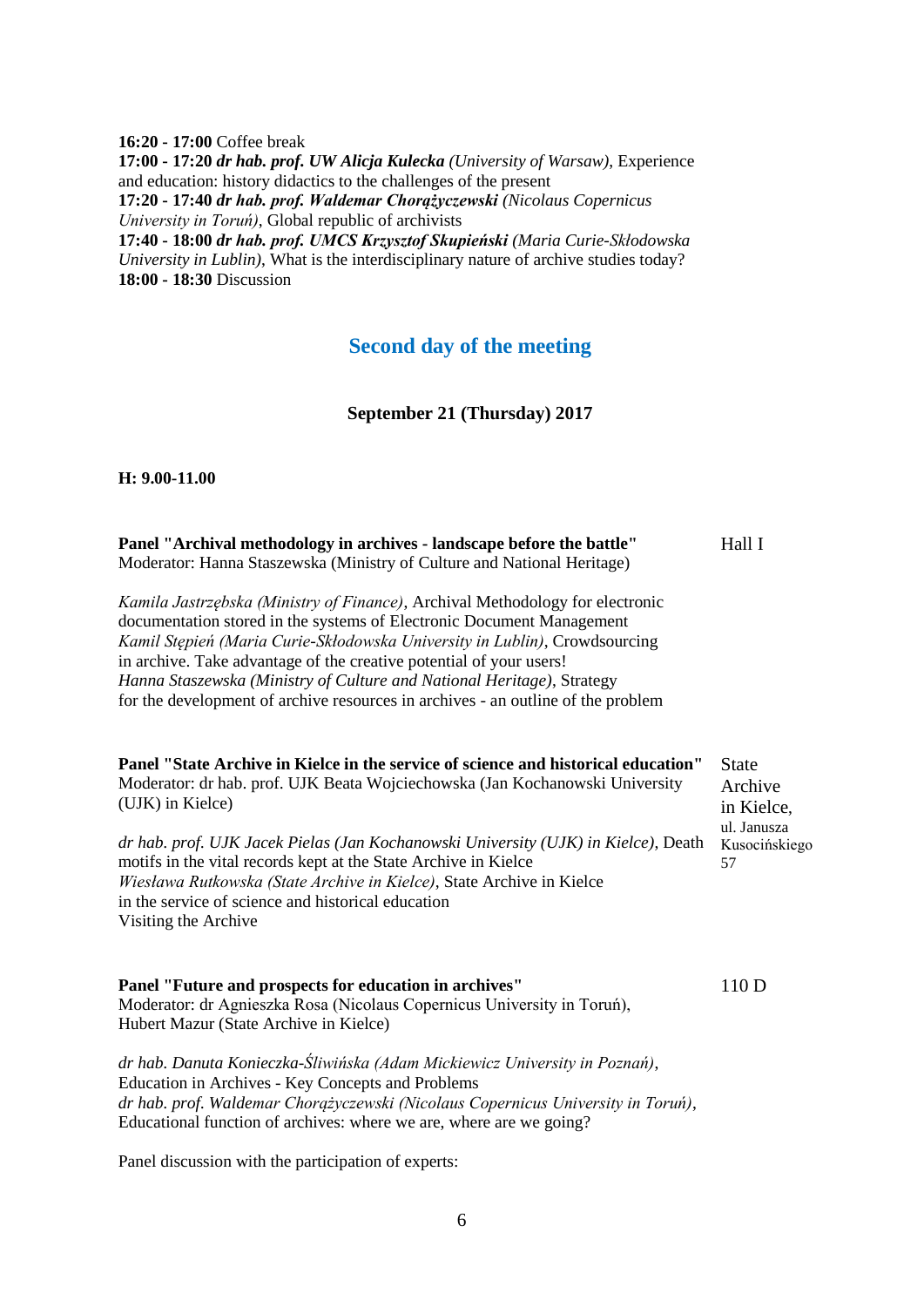**16:20 - 17:00** Coffee break **17:00 - 17:20** *dr hab. prof. UW Alicja Kulecka (University of Warsaw)*, Experience and education: history didactics to the challenges of the present **17:20 - 17:40** *dr hab. prof. Waldemar Chorążyczewski (Nicolaus Copernicus University in Toruń)*, Global republic of archivists **17:40 - 18:00** *dr hab. prof. UMCS Krzysztof Skupieński (Maria Curie-Skłodowska University in Lublin)*, What is the interdisciplinary nature of archive studies today? **18:00 - 18:30** Discussion

**Second day of the meeting**

**September 21 (Thursday) 2017**

**H: 9.00-11.00**

| Panel "Archival methodology in archives - landscape before the battle"<br>Moderator: Hanna Staszewska (Ministry of Culture and National Heritage)                                                                                                                                                                                                                                                                                                                         | Hall I                                |
|---------------------------------------------------------------------------------------------------------------------------------------------------------------------------------------------------------------------------------------------------------------------------------------------------------------------------------------------------------------------------------------------------------------------------------------------------------------------------|---------------------------------------|
| Kamila Jastrzębska (Ministry of Finance), Archival Methodology for electronic<br>documentation stored in the systems of Electronic Document Management<br>Kamil Stępień (Maria Curie-Skłodowska University in Lublin), Crowdsourcing<br>in archive. Take advantage of the creative potential of your users!<br>Hanna Staszewska (Ministry of Culture and National Heritage), Strategy<br>for the development of archive resources in archives - an outline of the problem |                                       |
| Panel "State Archive in Kielce in the service of science and historical education"<br>Moderator: dr hab. prof. UJK Beata Wojciechowska (Jan Kochanowski University<br>(UJK) in Kielce)                                                                                                                                                                                                                                                                                    | <b>State</b><br>Archive<br>in Kielce, |
| dr hab. prof. UJK Jacek Pielas (Jan Kochanowski University (UJK) in Kielce), Death<br>motifs in the vital records kept at the State Archive in Kielce<br>Wiesława Rutkowska (State Archive in Kielce), State Archive in Kielce<br>in the service of science and historical education<br>Visiting the Archive                                                                                                                                                              | ul. Janusza<br>Kusocińskiego<br>57    |
| Panel "Future and prospects for education in archives"<br>Moderator: dr Agnieszka Rosa (Nicolaus Copernicus University in Toruń),<br>Hubert Mazur (State Archive in Kielce)                                                                                                                                                                                                                                                                                               | 110 D                                 |
| dr hab. Danuta Konieczka-Śliwińska (Adam Mickiewicz University in Poznań),<br>Education in Archives - Key Concepts and Problems<br>dr hab. prof. Waldemar Chorgżyczewski (Nicolaus Copernicus University in Toruń),                                                                                                                                                                                                                                                       |                                       |

Educational function of archives: where we are, where are we going?

Panel discussion with the participation of experts: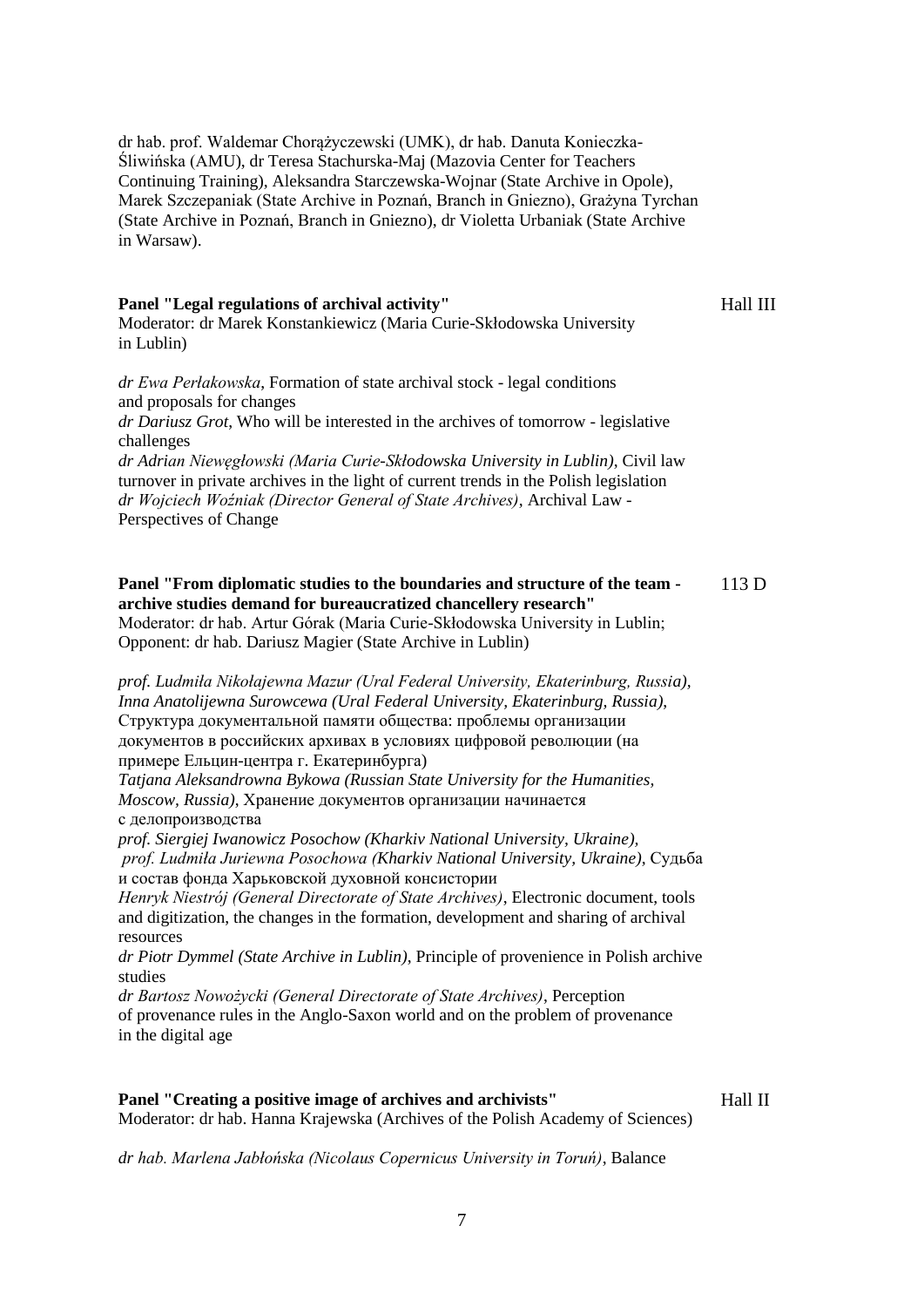dr hab. prof. Waldemar Chorążyczewski (UMK), dr hab. Danuta Konieczka-Śliwińska (AMU), dr Teresa Stachurska-Maj (Mazovia Center for Teachers Continuing Training), Aleksandra Starczewska-Wojnar (State Archive in Opole), Marek Szczepaniak (State Archive in Poznań, Branch in Gniezno), Grażyna Tyrchan (State Archive in Poznań, Branch in Gniezno), dr Violetta Urbaniak (State Archive in Warsaw).

#### **Panel "Legal regulations of archival activity"** Moderator: dr Marek Konstankiewicz (Maria Curie-Skłodowska University

Hall III

in Lublin)

*dr Ewa Perłakowska*, Formation of state archival stock - legal conditions and proposals for changes

*dr Dariusz Grot*, Who will be interested in the archives of tomorrow - legislative challenges

*dr Adrian Niewęgłowski (Maria Curie-Skłodowska University in Lublin)*, Civil law turnover in private archives in the light of current trends in the Polish legislation *dr Wojciech Woźniak (Director General of State Archives)*, Archival Law - Perspectives of Change

#### **Panel "From diplomatic studies to the boundaries and structure of the team archive studies demand for bureaucratized chancellery research"** 113 D

Moderator: dr hab. Artur Górak (Maria Curie-Skłodowska University in Lublin; Opponent: dr hab. Dariusz Magier (State Archive in Lublin)

*prof. Ludmiła Nikołajewna Mazur (Ural Federal University, Ekaterinburg, Russia), Inna Anatolijewna Surowcewa (Ural Federal University, Ekaterinburg, Russia)*, Структура документальной памяти общества: проблемы организации документов в российских архивах в условиях цифровой революции (на примере Ельцин-центра г. Екатеринбурга)

*Tatjana Aleksandrowna Bykowa (Russian State University for the Humanities, Moscow, Russia)*, Хранение документов организации начинается с делопроизводства

*prof. Siergiej Iwanowicz Posochow (Kharkiv National University, Ukraine), prof. Ludmiła Juriewna Posochowa (Kharkiv National University, Ukraine)*, Судьба и состав фонда Харьковской духовной консистории

*Henryk Niestrój (General Directorate of State Archives)*, Electronic document, tools and digitization, the changes in the formation, development and sharing of archival resources

*dr Piotr Dymmel (State Archive in Lublin)*, Principle of provenience in Polish archive studies

*dr Bartosz Nowożycki (General Directorate of State Archives)*, Perception of provenance rules in the Anglo-Saxon world and on the problem of provenance in the digital age

#### **Panel "Creating a positive image of archives and archivists"** Moderator: dr hab. Hanna Krajewska (Archives of the Polish Academy of Sciences)

Hall II

*dr hab. Marlena Jabłońska (Nicolaus Copernicus University in Toruń)*, Balance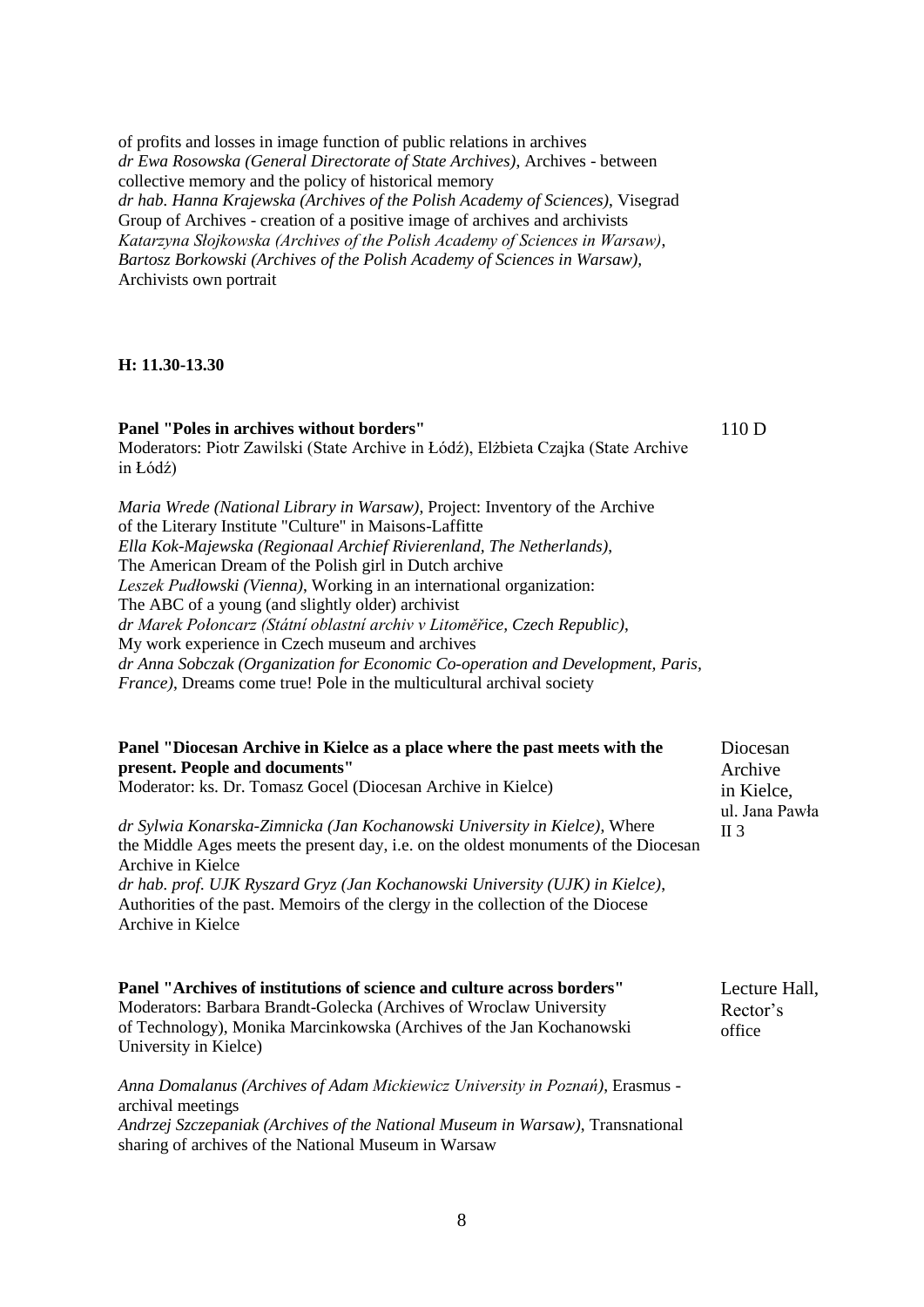of profits and losses in image function of public relations in archives *dr Ewa Rosowska (General Directorate of State Archives)*, Archives - between collective memory and the policy of historical memory *dr hab. Hanna Krajewska (Archives of the Polish Academy of Sciences)*, Visegrad Group of Archives - creation of a positive image of archives and archivists *Katarzyna Słojkowska (Archives of the Polish Academy of Sciences in Warsaw)*, *Bartosz Borkowski (Archives of the Polish Academy of Sciences in Warsaw),* Archivists own portrait

#### **H: 11.30-13.30**

**Panel "Poles in archives without borders"** Moderators: Piotr Zawilski (State Archive in Łódź), Elżbieta Czajka (State Archive in Łódź) *Maria Wrede (National Library in Warsaw)*, Project: Inventory of the Archive of the Literary Institute "Culture" in Maisons-Laffitte *Ella Kok-Majewska (Regionaal Archief Rivierenland, The Netherlands)*, The American Dream of the Polish girl in Dutch archive *Leszek Pudłowski (Vienna)*, Working in an international organization:

The ABC of a young (and slightly older) archivist *dr Marek Połoncarz (Státní oblastní archiv v Litoměřice, Czech Republic)*, My work experience in Czech museum and archives *dr Anna Sobczak (Organization for Economic Co-operation and Development, Paris, France)*, Dreams come true! Pole in the multicultural archival society

| Panel "Diocesan Archive in Kielce as a place where the past meets with the<br>present. People and documents"<br>Moderator: ks. Dr. Tomasz Gocel (Diocesan Archive in Kielce)                 | Diocesan<br>Archive<br>in Kielce,<br>ul. Jana Pawła<br>$\Pi$ 3 |
|----------------------------------------------------------------------------------------------------------------------------------------------------------------------------------------------|----------------------------------------------------------------|
| dr Sylwia Konarska-Zimnicka (Jan Kochanowski University in Kielce), Where<br>the Middle Ages meets the present day, <i>i.e.</i> on the oldest monuments of the Diocesan<br>Archive in Kielce |                                                                |

*dr hab. prof. UJK Ryszard Gryz (Jan Kochanowski University (UJK) in Kielce)*, Authorities of the past. Memoirs of the clergy in the collection of the Diocese Archive in Kielce

**Panel "Archives of institutions of science and culture across borders"** Moderators: Barbara Brandt-Golecka (Archives of Wroclaw University of Technology), Monika Marcinkowska (Archives of the Jan Kochanowski University in Kielce) Lecture Hall, Rector's office

*Anna Domalanus (Archives of Adam Mickiewicz University in Poznań)*, Erasmus archival meetings *Andrzej Szczepaniak (Archives of the National Museum in Warsaw)*, Transnational sharing of archives of the National Museum in Warsaw

110 D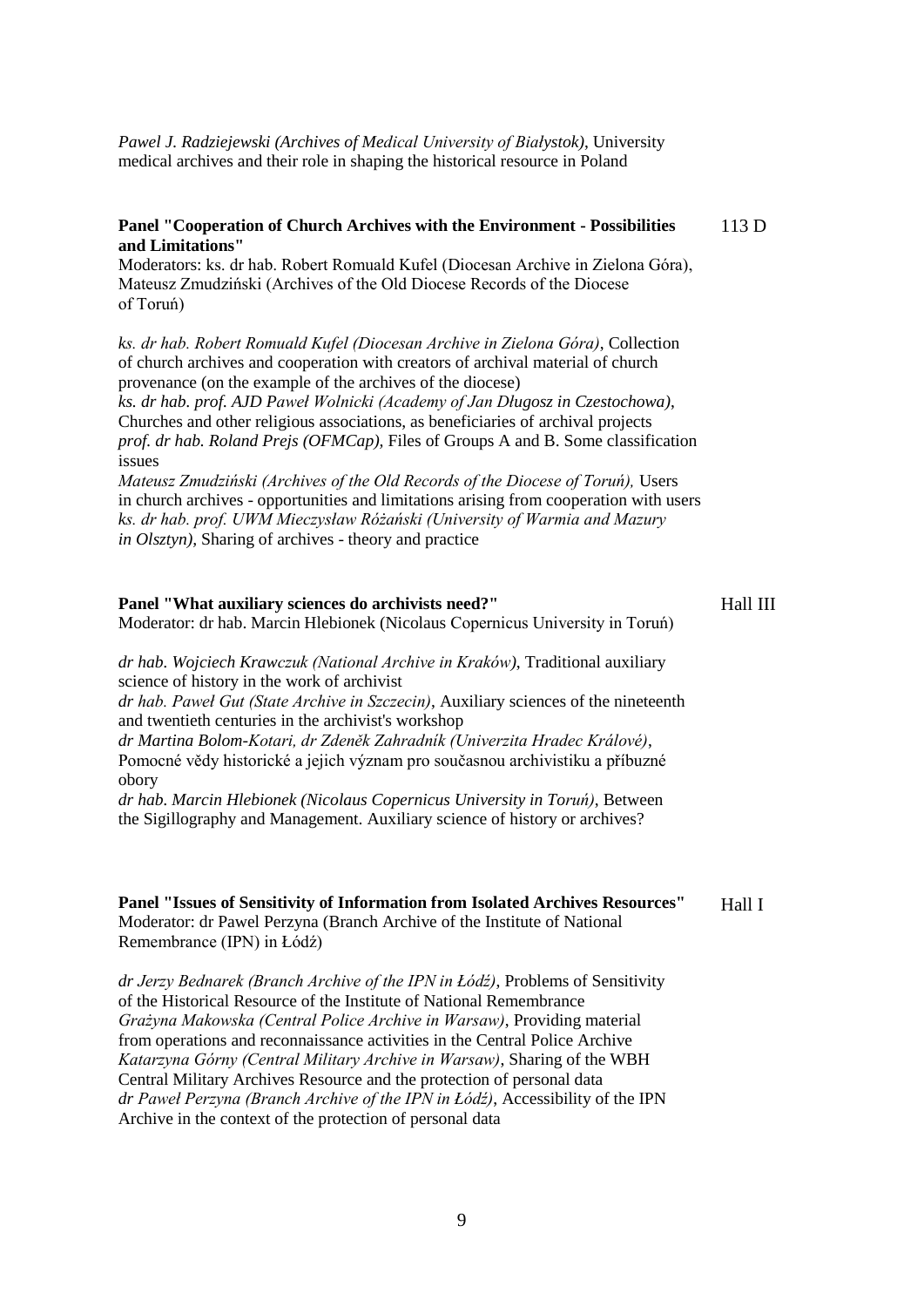*Pawel J. Radziejewski (Archives of Medical University of Białystok)*, University medical archives and their role in shaping the historical resource in Poland

#### **Panel "Cooperation of Church Archives with the Environment - Possibilities and Limitations"** 113 D

Moderators: ks. dr hab. Robert Romuald Kufel (Diocesan Archive in Zielona Góra), Mateusz Zmudziński (Archives of the Old Diocese Records of the Diocese of Toruń)

*ks. dr hab. Robert Romuald Kufel (Diocesan Archive in Zielona Góra)*, Collection of church archives and cooperation with creators of archival material of church provenance (on the example of the archives of the diocese)

*ks. dr hab. prof. AJD Paweł Wolnicki (Academy of Jan Długosz in Czestochowa)*, Churches and other religious associations, as beneficiaries of archival projects *prof. dr hab. Roland Prejs (OFMCap),* Files of Groups A and B. Some classification issues

*Mateusz Zmudziński (Archives of the Old Records of the Diocese of Toruń),* Users in church archives - opportunities and limitations arising from cooperation with users *ks. dr hab. prof. UWM Mieczysław Różański (University of Warmia and Mazury in Olsztyn),* Sharing of archives - theory and practice

#### **Panel "What auxiliary sciences do archivists need?"** Moderator: dr hab. Marcin Hlebionek (Nicolaus Copernicus University in Toruń) Hall III

*dr hab. Wojciech Krawczuk (National Archive in Kraków)*, Traditional auxiliary science of history in the work of archivist

*dr hab. Paweł Gut (State Archive in Szczecin)*, Auxiliary sciences of the nineteenth and twentieth centuries in the archivist's workshop

*dr Martina Bolom-Kotari, dr Zdeněk Zahradník (Univerzita Hradec Králové)*, Pomocné vědy historické a jejich význam pro současnou archivistiku a příbuzné obory

*dr hab. Marcin Hlebionek (Nicolaus Copernicus University in Toruń)*, Between the Sigillography and Management. Auxiliary science of history or archives?

#### **Panel "Issues of Sensitivity of Information from Isolated Archives Resources"** Moderator: dr Pawel Perzyna (Branch Archive of the Institute of National Remembrance (IPN) in Łódź) Hall I

*dr Jerzy Bednarek (Branch Archive of the IPN in Łódź)*, Problems of Sensitivity of the Historical Resource of the Institute of National Remembrance *Grażyna Makowska (Central Police Archive in Warsaw)*, Providing material from operations and reconnaissance activities in the Central Police Archive *Katarzyna Górny (Central Military Archive in Warsaw)*, Sharing of the WBH Central Military Archives Resource and the protection of personal data *dr Paweł Perzyna (Branch Archive of the IPN in Łódź)*, Accessibility of the IPN Archive in the context of the protection of personal data